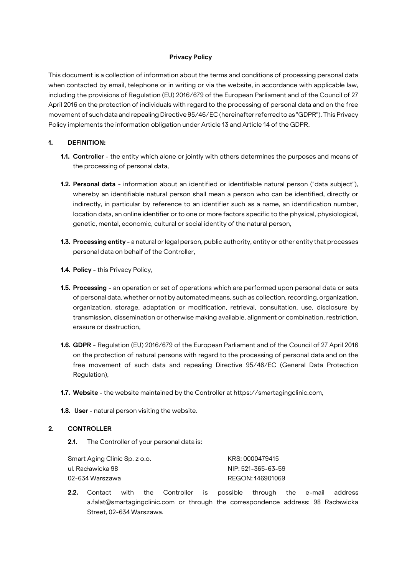#### **Privacy Policy**

This document is a collection of information about the terms and conditions of processing personal data when contacted by email, telephone or in writing or via the website, in accordance with applicable law, including the provisions of Regulation (EU) 2016/679 of the European Parliament and of the Council of 27 April 2016 on the protection of individuals with regard to the processing of personal data and on the free movement of such data and repealing Directive 95/46/EC (hereinafter referred to as "GDPR"). This Privacy Policy implements the information obligation under Article 13 and Article 14 of the GDPR.

#### **1. DEFINITION:**

- **1.1. Controller**  the entity which alone or jointly with others determines the purposes and means of the processing of personal data,
- **1.2. Personal data**  information about an identified or identifiable natural person ("data subject"), whereby an identifiable natural person shall mean a person who can be identified, directly or indirectly, in particular by reference to an identifier such as a name, an identification number, location data, an online identifier or to one or more factors specific to the physical, physiological, genetic, mental, economic, cultural or social identity of the natural person,
- **1.3. Processing entity**  a natural or legal person, public authority, entity or other entity that processes personal data on behalf of the Controller,
- **1.4. Policy**  this Privacy Policy,
- **1.5. Processing**  an operation or set of operations which are performed upon personal data or sets of personal data, whether or not by automated means, such as collection, recording, organization, organization, storage, adaptation or modification, retrieval, consultation, use, disclosure by transmission, dissemination or otherwise making available, alignment or combination, restriction, erasure or destruction,
- **1.6. GDPR**  Regulation (EU) 2016/679 of the European Parliament and of the Council of 27 April 2016 on the protection of natural persons with regard to the processing of personal data and on the free movement of such data and repealing Directive 95/46/EC (General Data Protection Regulation),
- **1.7. Website**  the website maintained by the Controller at https://smartagingclinic.com,
- **1.8. User**  natural person visiting the website.

#### **2. CONTROLLER**

**2.1.** The Controller of your personal data is:

| Smart Aging Clinic Sp. z o.o. | KRS: 0000479415    |
|-------------------------------|--------------------|
| ul. Racławicka 98             | NIP: 521-365-63-59 |
| 02-634 Warszawa               | REGON: 146901069   |

**2.2.** Contact with the Controller is possible through the e-mail address a.falat@smartagingclinic.com or through the correspondence address: 98 Racławicka Street, 02-634 Warszawa.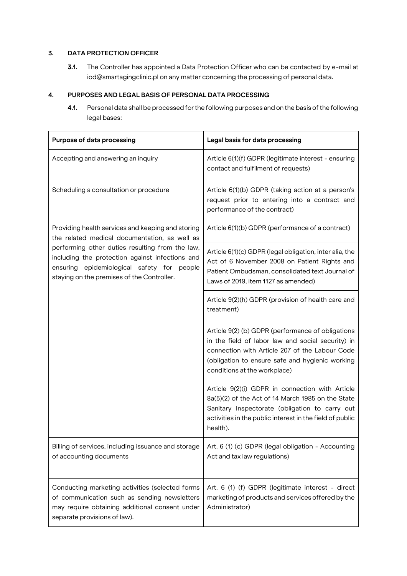# **3. DATA PROTECTION OFFICER**

**3.1.** The Controller has appointed a Data Protection Officer who can be contacted by e-mail at iod@smartagingclinic.pl on any matter concerning the processing of personal data.

# **4. PURPOSES AND LEGAL BASIS OF PERSONAL DATA PROCESSING**

**4.1.** Personal data shall be processed for the following purposes and on the basis of the following legal bases:

| <b>Purpose of data processing</b>                                                                                                                                                                                                                                                                    | Legal basis for data processing                                                                                                                                                                                                             |
|------------------------------------------------------------------------------------------------------------------------------------------------------------------------------------------------------------------------------------------------------------------------------------------------------|---------------------------------------------------------------------------------------------------------------------------------------------------------------------------------------------------------------------------------------------|
| Accepting and answering an inquiry                                                                                                                                                                                                                                                                   | Article 6(1)(f) GDPR (legitimate interest - ensuring<br>contact and fulfilment of requests)                                                                                                                                                 |
| Scheduling a consultation or procedure                                                                                                                                                                                                                                                               | Article 6(1)(b) GDPR (taking action at a person's<br>request prior to entering into a contract and<br>performance of the contract)                                                                                                          |
| Providing health services and keeping and storing<br>the related medical documentation, as well as<br>performing other duties resulting from the law,<br>including the protection against infections and<br>ensuring epidemiological safety for people<br>staying on the premises of the Controller. | Article 6(1)(b) GDPR (performance of a contract)                                                                                                                                                                                            |
|                                                                                                                                                                                                                                                                                                      | Article 6(1)(c) GDPR (legal obligation, inter alia, the<br>Act of 6 November 2008 on Patient Rights and<br>Patient Ombudsman, consolidated text Journal of<br>Laws of 2019, item 1127 as amended)                                           |
|                                                                                                                                                                                                                                                                                                      | Article 9(2)(h) GDPR (provision of health care and<br>treatment)                                                                                                                                                                            |
|                                                                                                                                                                                                                                                                                                      | Article 9(2) (b) GDPR (performance of obligations<br>in the field of labor law and social security) in<br>connection with Article 207 of the Labour Code<br>(obligation to ensure safe and hygienic working<br>conditions at the workplace) |
|                                                                                                                                                                                                                                                                                                      | Article 9(2)(i) GDPR in connection with Article<br>8a(5)(2) of the Act of 14 March 1985 on the State<br>Sanitary Inspectorate (obligation to carry out<br>activities in the public interest in the field of public<br>health).              |
| Billing of services, including issuance and storage<br>of accounting documents                                                                                                                                                                                                                       | Art. 6 (1) (c) GDPR (legal obligation - Accounting<br>Act and tax law regulations)                                                                                                                                                          |
| Conducting marketing activities (selected forms<br>of communication such as sending newsletters<br>may require obtaining additional consent under<br>separate provisions of law).                                                                                                                    | Art. 6 (1) (f) GDPR (legitimate interest - direct<br>marketing of products and services offered by the<br>Administrator)                                                                                                                    |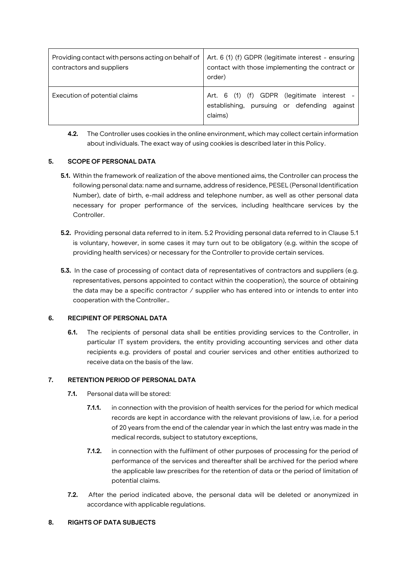| Providing contact with persons acting on behalf of<br>contractors and suppliers | Art. 6 (1) (f) GDPR (legitimate interest - ensuring<br>contact with those implementing the contract or<br>order) |
|---------------------------------------------------------------------------------|------------------------------------------------------------------------------------------------------------------|
| Execution of potential claims                                                   | Art. 6 (1) (f) GDPR (legitimate interest -<br>establishing, pursuing or defending against<br>claims)             |

**4.2.** The Controller uses cookies in the online environment, which may collect certain information about individuals. The exact way of using cookies is described later in this Policy.

### **5. SCOPE OF PERSONAL DATA**

- **5.1.** Within the framework of realization of the above mentioned aims, the Controller can process the following personal data: name and surname, address of residence, PESEL (Personal Identification Number), date of birth, e-mail address and telephone number, as well as other personal data necessary for proper performance of the services, including healthcare services by the Controller.
- **5.2.** Providing personal data referred to in item. 5.2 Providing personal data referred to in Clause 5.1 is voluntary, however, in some cases it may turn out to be obligatory (e.g. within the scope of providing health services) or necessary for the Controller to provide certain services.
- **5.3.** In the case of processing of contact data of representatives of contractors and suppliers (e.g. representatives, persons appointed to contact within the cooperation), the source of obtaining the data may be a specific contractor / supplier who has entered into or intends to enter into cooperation with the Controller..

### **6. RECIPIENT OF PERSONAL DATA**

**6.1.** The recipients of personal data shall be entities providing services to the Controller, in particular IT system providers, the entity providing accounting services and other data recipients e.g. providers of postal and courier services and other entities authorized to receive data on the basis of the law.

### **7. RETENTION PERIOD OF PERSONAL DATA**

- **7.1.** Personal data will be stored:
	- **7.1.1.** in connection with the provision of health services for the period for which medical records are kept in accordance with the relevant provisions of law, i.e. for a period of 20 years from the end of the calendar year in which the last entry was made in the medical records, subject to statutory exceptions,
	- **7.1.2.** in connection with the fulfilment of other purposes of processing for the period of performance of the services and thereafter shall be archived for the period where the applicable law prescribes for the retention of data or the period of limitation of potential claims.
- **7.2.** After the period indicated above, the personal data will be deleted or anonymized in accordance with applicable regulations.

### **8. RIGHTS OF DATA SUBJECTS**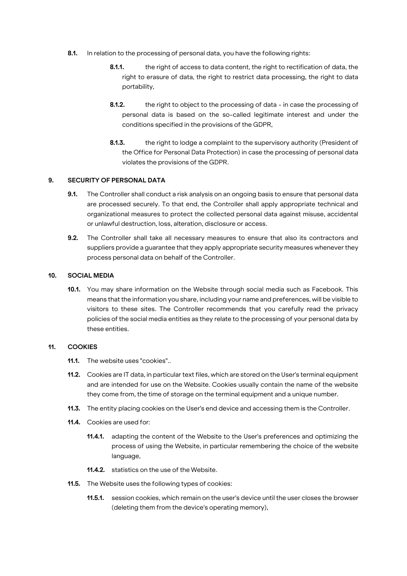- **8.1.** In relation to the processing of personal data, you have the following rights:
	- **8.1.1.** the right of access to data content, the right to rectification of data, the right to erasure of data, the right to restrict data processing, the right to data portability,
	- **8.1.2.** the right to object to the processing of data in case the processing of personal data is based on the so-called legitimate interest and under the conditions specified in the provisions of the GDPR,
	- **8.1.3.** the right to lodge a complaint to the supervisory authority (President of the Office for Personal Data Protection) in case the processing of personal data violates the provisions of the GDPR.

### **9. SECURITY OF PERSONAL DATA**

- **9.1.** The Controller shall conduct a risk analysis on an ongoing basis to ensure that personal data are processed securely. To that end, the Controller shall apply appropriate technical and organizational measures to protect the collected personal data against misuse, accidental or unlawful destruction, loss, alteration, disclosure or access.
- **9.2.** The Controller shall take all necessary measures to ensure that also its contractors and suppliers provide a guarantee that they apply appropriate security measures whenever they process personal data on behalf of the Controller.

#### **10. SOCIAL MEDIA**

**10.1.** You may share information on the Website through social media such as Facebook. This means that the information you share, including your name and preferences, will be visible to visitors to these sites. The Controller recommends that you carefully read the privacy policies of the social media entities as they relate to the processing of your personal data by these entities.

#### **11. COOKIES**

- **11.1.** The website uses "cookies"..
- **11.2.** Cookies are IT data, in particular text files, which are stored on the User's terminal equipment and are intended for use on the Website. Cookies usually contain the name of the website they come from, the time of storage on the terminal equipment and a unique number.
- **11.3.** The entity placing cookies on the User's end device and accessing them is the Controller.
- **11.4.** Cookies are used for:
	- **11.4.1.** adapting the content of the Website to the User's preferences and optimizing the process of using the Website, in particular remembering the choice of the website language,
	- **11.4.2.** statistics on the use of the Website.
- **11.5.** The Website uses the following types of cookies:
	- **11.5.1.** session cookies, which remain on the user's device until the user closes the browser (deleting them from the device's operating memory),